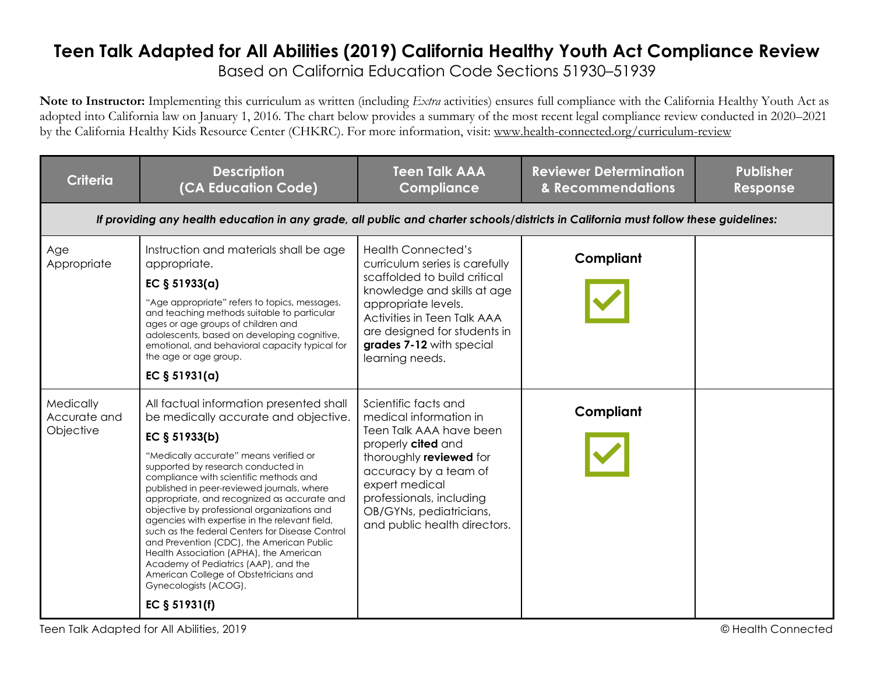## **Teen Talk Adapted for All Abilities (2019) California Healthy Youth Act Compliance Review** Based on California Education Code Sections 51930–51939

**Note to Instructor:** Implementing this curriculum as written (including *Extra* activities) ensures full compliance with the California Healthy Youth Act as adopted into California law on January 1, 2016. The chart below provides a summary of the most recent legal compliance review conducted in 2020–2021 by the California Healthy Kids Resource Center (CHKRC). For more information, visit: www.health-connected.org/curriculum-review

| <b>Criteria</b>                        | <b>Description</b><br>(CA Education Code)                                                                                                                                                                                                                                                                                                                                                                                                                                                                                                                                                                                                                                                      | <b>Teen Talk AAA</b><br><b>Compliance</b>                                                                                                                                                                                                                       | <b>Reviewer Determination</b><br>& Recommendations | <b>Publisher</b><br>Response |  |  |
|----------------------------------------|------------------------------------------------------------------------------------------------------------------------------------------------------------------------------------------------------------------------------------------------------------------------------------------------------------------------------------------------------------------------------------------------------------------------------------------------------------------------------------------------------------------------------------------------------------------------------------------------------------------------------------------------------------------------------------------------|-----------------------------------------------------------------------------------------------------------------------------------------------------------------------------------------------------------------------------------------------------------------|----------------------------------------------------|------------------------------|--|--|
|                                        | If providing any health education in any grade, all public and charter schools/districts in California must follow these guidelines:                                                                                                                                                                                                                                                                                                                                                                                                                                                                                                                                                           |                                                                                                                                                                                                                                                                 |                                                    |                              |  |  |
| Age<br>Appropriate                     | Instruction and materials shall be age<br>appropriate.<br>EC $§ 51933(a)$<br>"Age appropriate" refers to topics, messages,<br>and teaching methods suitable to particular<br>ages or age groups of children and<br>adolescents, based on developing cognitive,<br>emotional, and behavioral capacity typical for<br>the age or age group.<br>EC $§ 51931(a)$                                                                                                                                                                                                                                                                                                                                   | <b>Health Connected's</b><br>curriculum series is carefully<br>scaffolded to build critical<br>knowledge and skills at age<br>appropriate levels.<br>Activities in Teen Talk AAA<br>are designed for students in<br>grades 7-12 with special<br>learning needs. | Compliant                                          |                              |  |  |
| Medically<br>Accurate and<br>Objective | All factual information presented shall<br>be medically accurate and objective.<br>EC § 51933(b)<br>"Medically accurate" means verified or<br>supported by research conducted in<br>compliance with scientific methods and<br>published in peer-reviewed journals, where<br>appropriate, and recognized as accurate and<br>objective by professional organizations and<br>agencies with expertise in the relevant field,<br>such as the federal Centers for Disease Control<br>and Prevention (CDC), the American Public<br>Health Association (APHA), the American<br>Academy of Pediatrics (AAP), and the<br>American College of Obstetricians and<br>Gynecologists (ACOG).<br>EC § 51931(f) | Scientific facts and<br>medical information in<br>Teen Talk AAA have been<br>properly cited and<br>thoroughly reviewed for<br>accuracy by a team of<br>expert medical<br>professionals, including<br>OB/GYNs, pediatricians,<br>and public health directors.    | Compliant                                          |                              |  |  |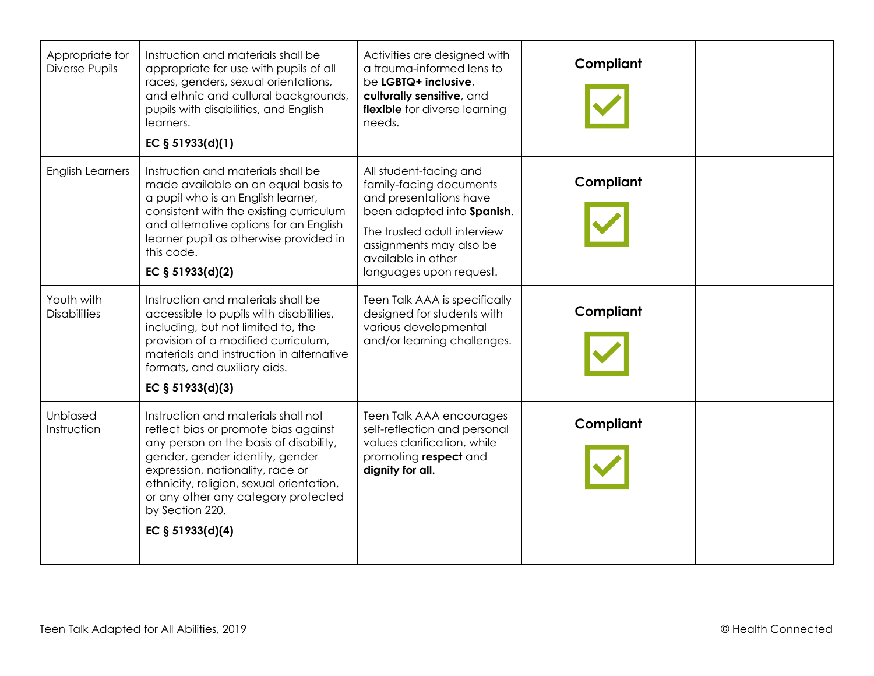| Appropriate for<br>Diverse Pupils | Instruction and materials shall be<br>appropriate for use with pupils of all<br>races, genders, sexual orientations,<br>and ethnic and cultural backgrounds,<br>pupils with disabilities, and English<br>learners.<br>EC $§ 51933(d)(1)$                                                                               | Activities are designed with<br>a trauma-informed lens to<br>be LGBTQ+ inclusive,<br>culturally sensitive, and<br>flexible for diverse learning<br>needs.                                                            | Compliant |  |
|-----------------------------------|------------------------------------------------------------------------------------------------------------------------------------------------------------------------------------------------------------------------------------------------------------------------------------------------------------------------|----------------------------------------------------------------------------------------------------------------------------------------------------------------------------------------------------------------------|-----------|--|
| <b>English Learners</b>           | Instruction and materials shall be<br>made available on an equal basis to<br>a pupil who is an English learner,<br>consistent with the existing curriculum<br>and alternative options for an English<br>learner pupil as otherwise provided in<br>this code.<br>EC § 51933(d)(2)                                       | All student-facing and<br>family-facing documents<br>and presentations have<br>been adapted into Spanish.<br>The trusted adult interview<br>assignments may also be<br>available in other<br>languages upon request. | Compliant |  |
| Youth with<br><b>Disabilities</b> | Instruction and materials shall be<br>accessible to pupils with disabilities,<br>including, but not limited to, the<br>provision of a modified curriculum,<br>materials and instruction in alternative<br>formats, and auxiliary aids.<br>EC $§ 51933(d)(3)$                                                           | Teen Talk AAA is specifically<br>designed for students with<br>various developmental<br>and/or learning challenges.                                                                                                  | Compliant |  |
| Unbiased<br>Instruction           | Instruction and materials shall not<br>reflect bias or promote bias against<br>any person on the basis of disability,<br>gender, gender identity, gender<br>expression, nationality, race or<br>ethnicity, religion, sexual orientation,<br>or any other any category protected<br>by Section 220.<br>EC § 51933(d)(4) | Teen Talk AAA encourages<br>self-reflection and personal<br>values clarification, while<br>promoting respect and<br>dignity for all.                                                                                 | Compliant |  |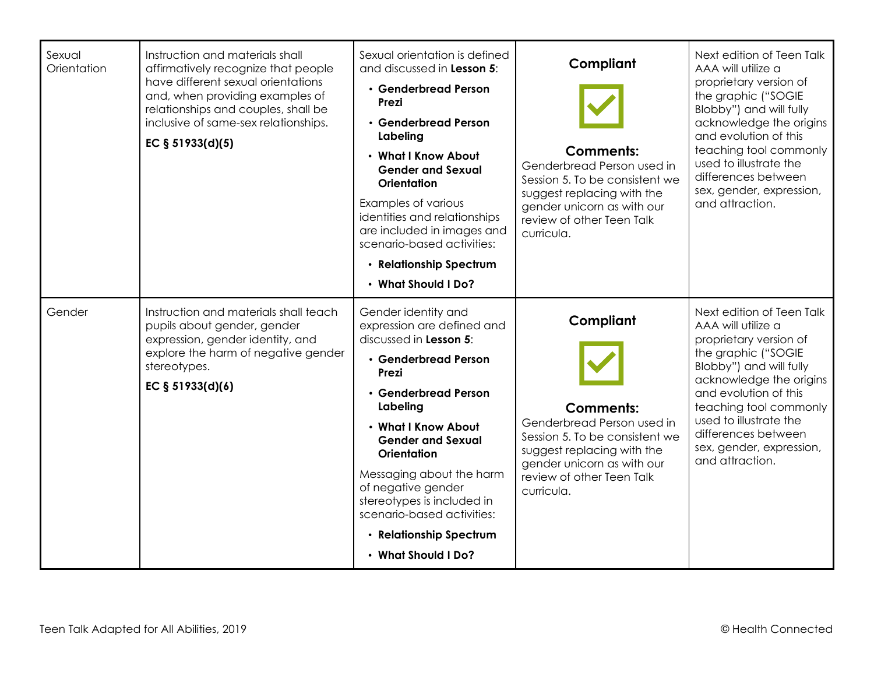| Sexual<br>Orientation | Instruction and materials shall<br>affirmatively recognize that people<br>have different sexual orientations<br>and, when providing examples of<br>relationships and couples, shall be<br>inclusive of same-sex relationships.<br>EC § 51933(d)(5) | Sexual orientation is defined<br>and discussed in Lesson 5:<br>• Genderbread Person<br>Prezi<br>• Genderbread Person<br>Labeling<br>• What I Know About<br><b>Gender and Sexual</b><br>Orientation<br>Examples of various<br>identities and relationships<br>are included in images and<br>scenario-based activities:<br>• Relationship Spectrum<br>• What Should I Do?                   | Compliant<br><b>Comments:</b><br>Genderbread Person used in<br>Session 5. To be consistent we<br>suggest replacing with the<br>gender unicorn as with our<br>review of other Teen Talk<br>curricula. | Next edition of Teen Talk<br>AAA will utilize a<br>proprietary version of<br>the graphic ("SOGIE<br>Blobby") and will fully<br>acknowledge the origins<br>and evolution of this<br>teaching tool commonly<br>used to illustrate the<br>differences between<br>sex, gender, expression,<br>and attraction. |
|-----------------------|----------------------------------------------------------------------------------------------------------------------------------------------------------------------------------------------------------------------------------------------------|-------------------------------------------------------------------------------------------------------------------------------------------------------------------------------------------------------------------------------------------------------------------------------------------------------------------------------------------------------------------------------------------|------------------------------------------------------------------------------------------------------------------------------------------------------------------------------------------------------|-----------------------------------------------------------------------------------------------------------------------------------------------------------------------------------------------------------------------------------------------------------------------------------------------------------|
| Gender                | Instruction and materials shall teach<br>pupils about gender, gender<br>expression, gender identity, and<br>explore the harm of negative gender<br>stereotypes.<br>EC § 51933(d)(6)                                                                | Gender identity and<br>expression are defined and<br>discussed in Lesson 5:<br>• Genderbread Person<br>Prezi<br>• Genderbread Person<br>Labeling<br>• What I Know About<br><b>Gender and Sexual</b><br><b>Orientation</b><br>Messaging about the harm<br>of negative gender<br>stereotypes is included in<br>scenario-based activities:<br>• Relationship Spectrum<br>• What Should I Do? | Compliant<br><b>Comments:</b><br>Genderbread Person used in<br>Session 5. To be consistent we<br>suggest replacing with the<br>gender unicorn as with our<br>review of other Teen Talk<br>curricula. | Next edition of Teen Talk<br>AAA will utilize a<br>proprietary version of<br>the graphic ("SOGIE<br>Blobby") and will fully<br>acknowledge the origins<br>and evolution of this<br>teaching tool commonly<br>used to illustrate the<br>differences between<br>sex, gender, expression,<br>and attraction. |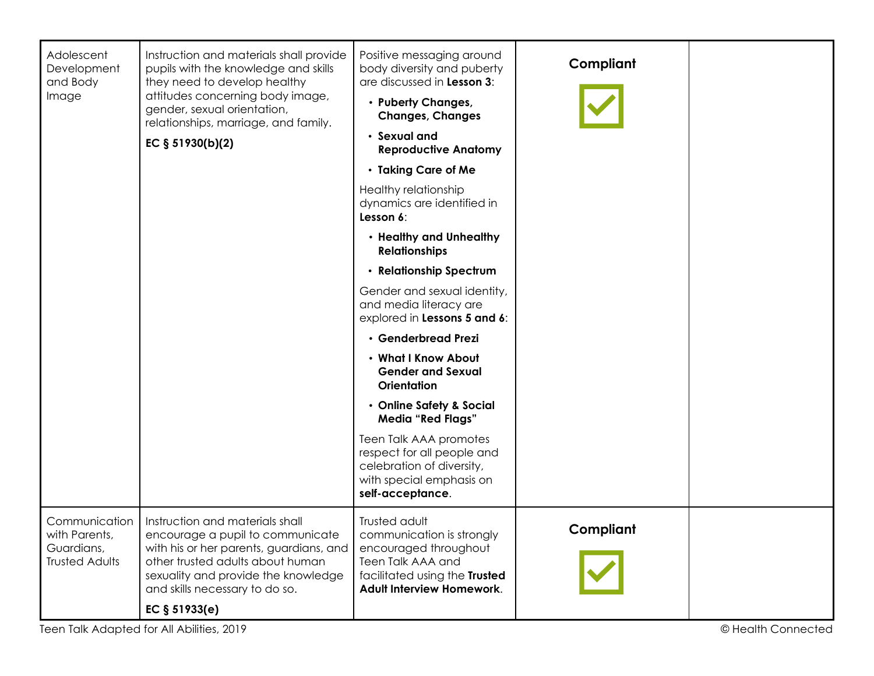| Adolescent<br>Development<br>and Body                                 | Instruction and materials shall provide<br>pupils with the knowledge and skills<br>they need to develop healthy                                                                                                             | Positive messaging around<br>body diversity and puberty<br>are discussed in Lesson 3:                                                                  | Compliant |  |
|-----------------------------------------------------------------------|-----------------------------------------------------------------------------------------------------------------------------------------------------------------------------------------------------------------------------|--------------------------------------------------------------------------------------------------------------------------------------------------------|-----------|--|
| Image                                                                 | attitudes concerning body image,<br>gender, sexual orientation,<br>relationships, marriage, and family.                                                                                                                     | • Puberty Changes,<br><b>Changes, Changes</b>                                                                                                          |           |  |
|                                                                       | EC § 51930(b)(2)                                                                                                                                                                                                            | · Sexual and<br><b>Reproductive Anatomy</b>                                                                                                            |           |  |
|                                                                       |                                                                                                                                                                                                                             | • Taking Care of Me                                                                                                                                    |           |  |
|                                                                       |                                                                                                                                                                                                                             | Healthy relationship<br>dynamics are identified in<br>Lesson 6:                                                                                        |           |  |
|                                                                       |                                                                                                                                                                                                                             | • Healthy and Unhealthy<br><b>Relationships</b>                                                                                                        |           |  |
|                                                                       |                                                                                                                                                                                                                             | • Relationship Spectrum                                                                                                                                |           |  |
|                                                                       |                                                                                                                                                                                                                             | Gender and sexual identity,<br>and media literacy are<br>explored in Lessons 5 and 6:                                                                  |           |  |
|                                                                       |                                                                                                                                                                                                                             | · Genderbread Prezi                                                                                                                                    |           |  |
|                                                                       |                                                                                                                                                                                                                             | . What I Know About<br><b>Gender and Sexual</b><br>Orientation                                                                                         |           |  |
|                                                                       |                                                                                                                                                                                                                             | • Online Safety & Social<br><b>Media "Red Flags"</b>                                                                                                   |           |  |
|                                                                       |                                                                                                                                                                                                                             | Teen Talk AAA promotes<br>respect for all people and<br>celebration of diversity,<br>with special emphasis on<br>self-acceptance.                      |           |  |
| Communication<br>with Parents,<br>Guardians,<br><b>Trusted Adults</b> | Instruction and materials shall<br>encourage a pupil to communicate<br>with his or her parents, guardians, and<br>other trusted adults about human<br>sexuality and provide the knowledge<br>and skills necessary to do so. | Trusted adult<br>communication is strongly<br>encouraged throughout<br>Teen Talk AAA and<br>facilitated using the Trusted<br>Adult Interview Homework. | Compliant |  |
|                                                                       | EC $§ 51933(e)$                                                                                                                                                                                                             |                                                                                                                                                        |           |  |
| Teen Talk Adapted for All Abilities, 2019<br>© Health Connected       |                                                                                                                                                                                                                             |                                                                                                                                                        |           |  |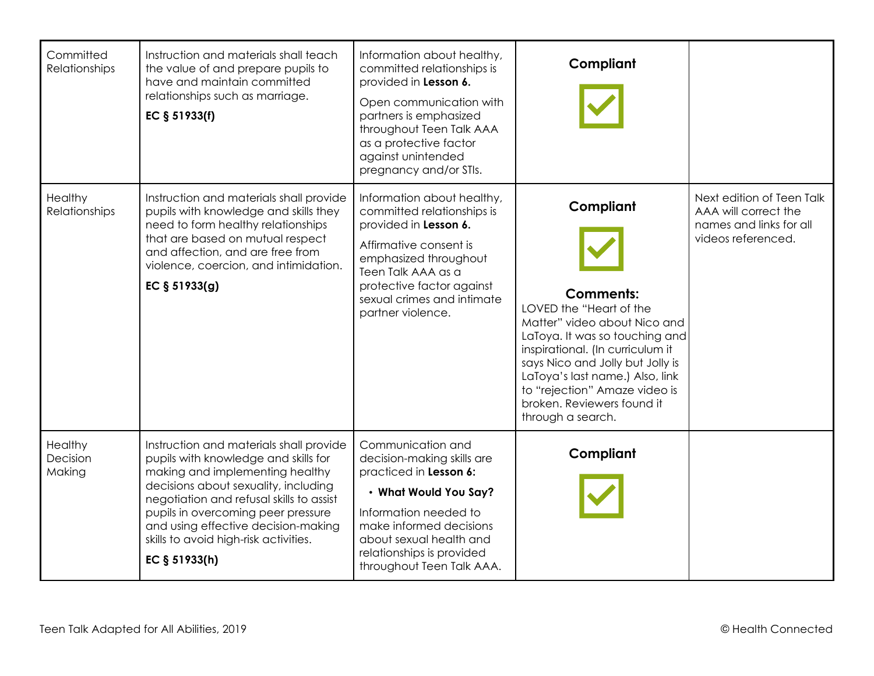| Committed<br>Relationships    | Instruction and materials shall teach<br>the value of and prepare pupils to<br>have and maintain committed<br>relationships such as marriage.<br>EC § 51933(f)                                                                                                                                                                                | Information about healthy,<br>committed relationships is<br>provided in Lesson 6.<br>Open communication with<br>partners is emphasized<br>throughout Teen Talk AAA<br>as a protective factor<br>against unintended<br>pregnancy and/or STIs. | Compliant                                                                                                                                                                                                                                                                                                                 |                                                                                                    |
|-------------------------------|-----------------------------------------------------------------------------------------------------------------------------------------------------------------------------------------------------------------------------------------------------------------------------------------------------------------------------------------------|----------------------------------------------------------------------------------------------------------------------------------------------------------------------------------------------------------------------------------------------|---------------------------------------------------------------------------------------------------------------------------------------------------------------------------------------------------------------------------------------------------------------------------------------------------------------------------|----------------------------------------------------------------------------------------------------|
| Healthy<br>Relationships      | Instruction and materials shall provide<br>pupils with knowledge and skills they<br>need to form healthy relationships<br>that are based on mutual respect<br>and affection, and are free from<br>violence, coercion, and intimidation.<br>EC § 51933(g)                                                                                      | Information about healthy,<br>committed relationships is<br>provided in Lesson 6.<br>Affirmative consent is<br>emphasized throughout<br>Teen Talk AAA as a<br>protective factor against<br>sexual crimes and intimate<br>partner violence.   | Compliant<br><b>Comments:</b><br>LOVED the "Heart of the<br>Matter" video about Nico and<br>LaToya. It was so touching and<br>inspirational. (In curriculum it<br>says Nico and Jolly but Jolly is<br>LaToya's last name.) Also, link<br>to "rejection" Amaze video is<br>broken. Reviewers found it<br>through a search. | Next edition of Teen Talk<br>AAA will correct the<br>names and links for all<br>videos referenced. |
| Healthy<br>Decision<br>Making | Instruction and materials shall provide<br>pupils with knowledge and skills for<br>making and implementing healthy<br>decisions about sexuality, including<br>negotiation and refusal skills to assist<br>pupils in overcoming peer pressure<br>and using effective decision-making<br>skills to avoid high-risk activities.<br>EC § 51933(h) | Communication and<br>decision-making skills are<br>practiced in Lesson 6:<br>• What Would You Say?<br>Information needed to<br>make informed decisions<br>about sexual health and<br>relationships is provided<br>throughout Teen Talk AAA.  | Compliant                                                                                                                                                                                                                                                                                                                 |                                                                                                    |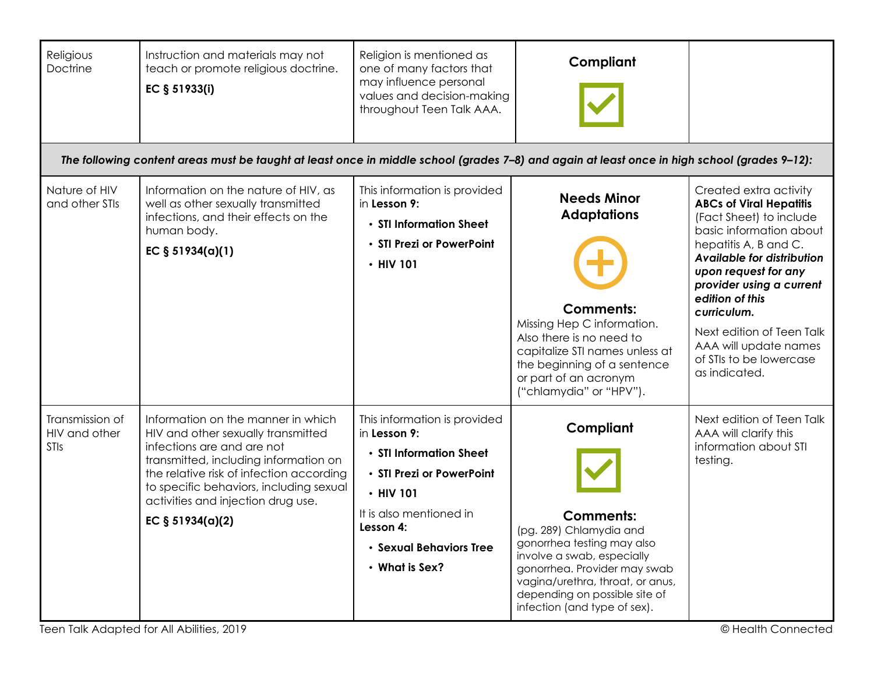| Religious<br>Doctrine                    | Instruction and materials may not<br>teach or promote religious doctrine.<br>EC § 51933(i)                                                                                                                                                                                                       | Religion is mentioned as<br>one of many factors that<br>may influence personal<br>values and decision-making<br>throughout Teen Talk AAA.                                                              | Compliant                                                                                                                                                                                                                                                 |                                                                                                                                                                                                                                                                                                                                                               |
|------------------------------------------|--------------------------------------------------------------------------------------------------------------------------------------------------------------------------------------------------------------------------------------------------------------------------------------------------|--------------------------------------------------------------------------------------------------------------------------------------------------------------------------------------------------------|-----------------------------------------------------------------------------------------------------------------------------------------------------------------------------------------------------------------------------------------------------------|---------------------------------------------------------------------------------------------------------------------------------------------------------------------------------------------------------------------------------------------------------------------------------------------------------------------------------------------------------------|
|                                          | The following content areas must be taught at least once in middle school (grades 7-8) and again at least once in high school (grades 9-12):                                                                                                                                                     |                                                                                                                                                                                                        |                                                                                                                                                                                                                                                           |                                                                                                                                                                                                                                                                                                                                                               |
| Nature of HIV<br>and other STIs          | Information on the nature of HIV, as<br>well as other sexually transmitted<br>infections, and their effects on the<br>human body.<br>EC $§ 51934(a)(1)$                                                                                                                                          | This information is provided<br>in Lesson 9:<br>• STI Information Sheet<br>• STI Prezi or PowerPoint<br>$\cdot$ HIV 101                                                                                | <b>Needs Minor</b><br><b>Adaptations</b><br><b>Comments:</b><br>Missing Hep C information.<br>Also there is no need to<br>capitalize STI names unless at<br>the beginning of a sentence<br>or part of an acronym<br>("chlamydia" or "HPV").               | Created extra activity<br><b>ABCs of Viral Hepatitis</b><br>(Fact Sheet) to include<br>basic information about<br>hepatitis A, B and C.<br>Available for distribution<br>upon request for any<br>provider using a current<br>edition of this<br>curriculum.<br>Next edition of Teen Talk<br>AAA will update names<br>of STIs to be lowercase<br>as indicated. |
| Transmission of<br>HIV and other<br>STIs | Information on the manner in which<br>HIV and other sexually transmitted<br>infections are and are not<br>transmitted, including information on<br>the relative risk of infection according<br>to specific behaviors, including sexual<br>activities and injection drug use.<br>EC § 51934(a)(2) | This information is provided<br>in Lesson 9:<br>• STI Information Sheet<br>• STI Prezi or PowerPoint<br>• HIV 101<br>It is also mentioned in<br>Lesson 4:<br>· Sexual Behaviors Tree<br>• What is Sex? | Compliant<br><b>Comments:</b><br>(pg. 289) Chlamydia and<br>gonorrhea testing may also<br>involve a swab, especially<br>gonorrhea. Provider may swab<br>vagina/urethra, throat, or anus,<br>depending on possible site of<br>infection (and type of sex). | Next edition of Teen Talk<br>AAA will clarify this<br>information about STI<br>testing.                                                                                                                                                                                                                                                                       |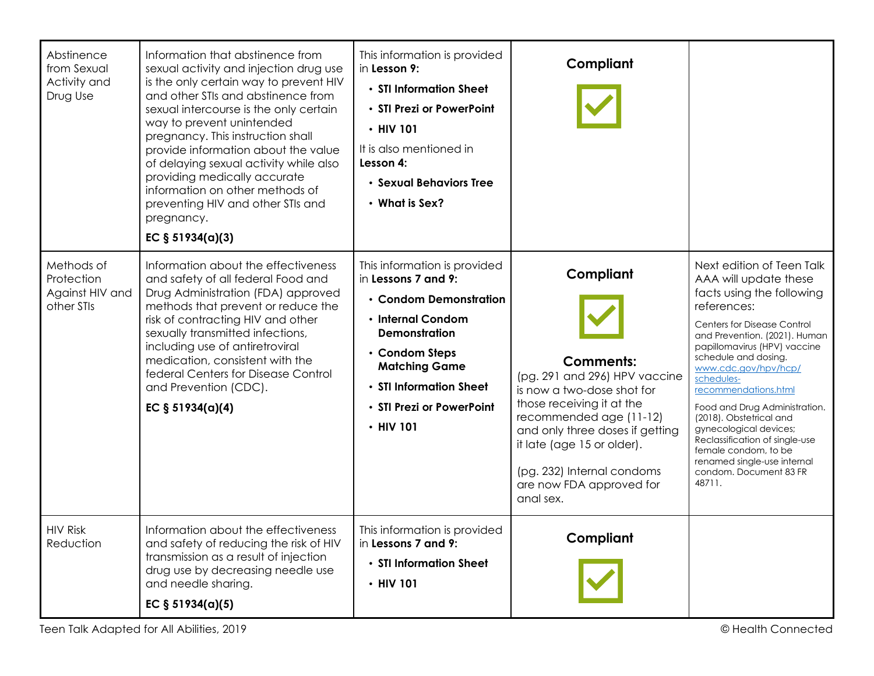| Abstinence<br>from Sexual<br>Activity and<br>Drug Use     | Information that abstinence from<br>sexual activity and injection drug use<br>is the only certain way to prevent HIV<br>and other STIs and abstinence from<br>sexual intercourse is the only certain<br>way to prevent unintended<br>pregnancy. This instruction shall<br>provide information about the value<br>of delaying sexual activity while also<br>providing medically accurate<br>information on other methods of<br>preventing HIV and other STIs and<br>pregnancy.<br>EC $§ 51934(a)(3)$ | This information is provided<br>in Lesson 9:<br>• STI Information Sheet<br>• STI Prezi or PowerPoint<br>• HIV 101<br>It is also mentioned in<br>Lesson 4:<br>· Sexual Behaviors Tree<br>• What is Sex?                                          | Compliant                                                                                                                                                                                                                                                                                    |                                                                                                                                                                                                                                                                                                                                                                                                                                                                                                                |
|-----------------------------------------------------------|-----------------------------------------------------------------------------------------------------------------------------------------------------------------------------------------------------------------------------------------------------------------------------------------------------------------------------------------------------------------------------------------------------------------------------------------------------------------------------------------------------|-------------------------------------------------------------------------------------------------------------------------------------------------------------------------------------------------------------------------------------------------|----------------------------------------------------------------------------------------------------------------------------------------------------------------------------------------------------------------------------------------------------------------------------------------------|----------------------------------------------------------------------------------------------------------------------------------------------------------------------------------------------------------------------------------------------------------------------------------------------------------------------------------------------------------------------------------------------------------------------------------------------------------------------------------------------------------------|
| Methods of<br>Protection<br>Against HIV and<br>other STIs | Information about the effectiveness<br>and safety of all federal Food and<br>Drug Administration (FDA) approved<br>methods that prevent or reduce the<br>risk of contracting HIV and other<br>sexually transmitted infections,<br>including use of antiretroviral<br>medication, consistent with the<br>federal Centers for Disease Control<br>and Prevention (CDC).<br>EC $§ 51934(a)(4)$                                                                                                          | This information is provided<br>in Lessons 7 and 9:<br>• Condom Demonstration<br>• Internal Condom<br><b>Demonstration</b><br>• Condom Steps<br><b>Matching Game</b><br>• STI Information Sheet<br>· STI Prezi or PowerPoint<br>$\cdot$ HIV 101 | Compliant<br><b>Comments:</b><br>(pg. 291 and 296) HPV vaccine<br>is now a two-dose shot for<br>those receiving it at the<br>recommended age (11-12)<br>and only three doses if getting<br>it late (age 15 or older).<br>(pg. 232) Internal condoms<br>are now FDA approved for<br>anal sex. | Next edition of Teen Talk<br>AAA will update these<br>facts using the following<br>references:<br><b>Centers for Disease Control</b><br>and Prevention. (2021). Human<br>papillomavirus (HPV) vaccine<br>schedule and dosing.<br>www.cdc.gov/hpv/hcp/<br>schedules-<br>recommendations.html<br>Food and Drug Administration.<br>(2018). Obstetrical and<br>gynecological devices;<br>Reclassification of single-use<br>female condom, to be<br>renamed single-use internal<br>condom. Document 83 FR<br>48711. |
| <b>HIV Risk</b><br>Reduction                              | Information about the effectiveness<br>and safety of reducing the risk of HIV<br>transmission as a result of injection<br>drug use by decreasing needle use<br>and needle sharing.<br>EC $§ 51934(a)(5)$                                                                                                                                                                                                                                                                                            | This information is provided<br>in Lessons 7 and 9:<br>• STI Information Sheet<br>$\cdot$ HIV 101                                                                                                                                               | Compliant                                                                                                                                                                                                                                                                                    |                                                                                                                                                                                                                                                                                                                                                                                                                                                                                                                |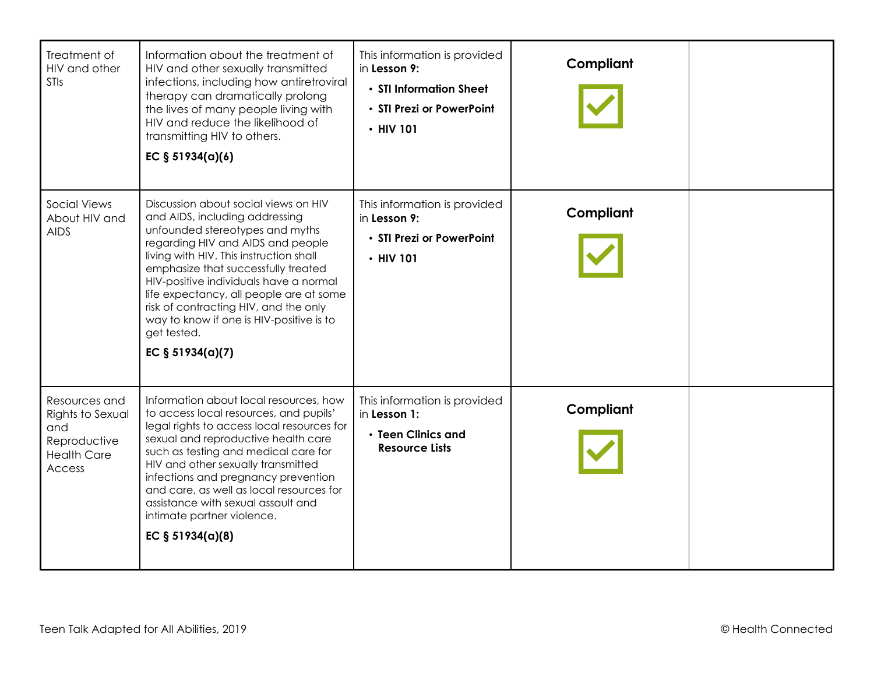| Treatment of<br>HIV and other<br><b>STIs</b>                                             | Information about the treatment of<br>HIV and other sexually transmitted<br>infections, including how antiretroviral<br>therapy can dramatically prolong<br>the lives of many people living with<br>HIV and reduce the likelihood of<br>transmitting HIV to others.<br>EC $§ 51934(a)(6)$                                                                                                                                                       | This information is provided<br>in Lesson 9:<br>• STI Information Sheet<br>• STI Prezi or PowerPoint<br>$\cdot$ HIV 101 | Compliant |  |
|------------------------------------------------------------------------------------------|-------------------------------------------------------------------------------------------------------------------------------------------------------------------------------------------------------------------------------------------------------------------------------------------------------------------------------------------------------------------------------------------------------------------------------------------------|-------------------------------------------------------------------------------------------------------------------------|-----------|--|
| <b>Social Views</b><br>About HIV and<br><b>AIDS</b>                                      | Discussion about social views on HIV<br>and AIDS, including addressing<br>unfounded stereotypes and myths<br>regarding HIV and AIDS and people<br>living with HIV. This instruction shall<br>emphasize that successfully treated<br>HIV-positive individuals have a normal<br>life expectancy, all people are at some<br>risk of contracting HIV, and the only<br>way to know if one is HIV-positive is to<br>get tested.<br>EC $§ 51934(a)(7)$ | This information is provided<br>in Lesson 9:<br>• STI Prezi or PowerPoint<br>$\cdot$ HIV 101                            | Compliant |  |
| Resources and<br>Rights to Sexual<br>and<br>Reproductive<br><b>Health Care</b><br>Access | Information about local resources, how<br>to access local resources, and pupils'<br>legal rights to access local resources for<br>sexual and reproductive health care<br>such as testing and medical care for<br>HIV and other sexually transmitted<br>infections and pregnancy prevention<br>and care, as well as local resources for<br>assistance with sexual assault and<br>intimate partner violence.<br>EC $§ 51934(a)(8)$                | This information is provided<br>in Lesson 1:<br>• Teen Clinics and<br><b>Resource Lists</b>                             | Compliant |  |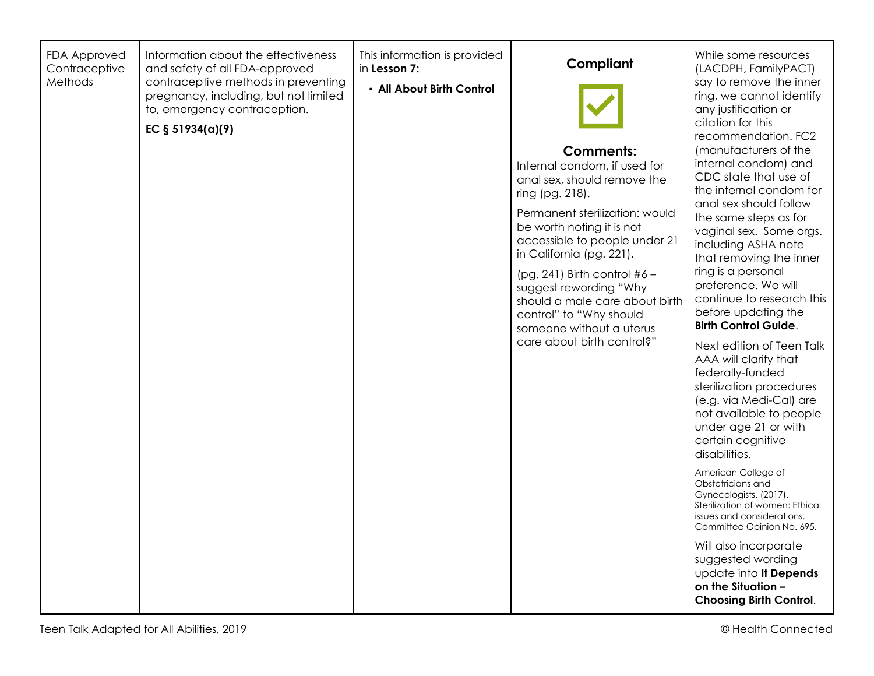| <b>FDA Approved</b><br>Contraceptive<br>Methods | Information about the effectiveness<br>and safety of all FDA-approved<br>contraceptive methods in preventing<br>pregnancy, including, but not limited<br>to, emergency contraception.<br>EC § 51934(a)(9) | This information is provided<br>in Lesson 7:<br>. All About Birth Control | Compliant<br><b>Comments:</b><br>Internal condom, if used for<br>anal sex, should remove the<br>ring (pg. 218).<br>Permanent sterilization: would<br>be worth noting it is not<br>accessible to people under 21<br>in California (pg. 221).<br>(pg. 241) Birth control $#6 -$<br>suggest rewording "Why<br>should a male care about birth<br>control" to "Why should<br>someone without a uterus<br>care about birth control?" | While some resources<br>(LACDPH, FamilyPACT)<br>say to remove the inner<br>ring, we cannot identify<br>any justification or<br>citation for this<br>recommendation. FC2<br>(manufacturers of the<br>internal condom) and<br>CDC state that use of<br>the internal condom for<br>anal sex should follow<br>the same steps as for<br>vaginal sex. Some orgs.<br>including ASHA note<br>that removing the inner<br>ring is a personal<br>preference. We will<br>continue to research this<br>before updating the<br><b>Birth Control Guide.</b><br>Next edition of Teen Talk<br>AAA will clarify that<br>federally-funded<br>sterilization procedures<br>(e.g. via Medi-Cal) are<br>not available to people<br>under age 21 or with<br>certain cognitive<br>disabilities.<br>American College of<br>Obstetricians and<br>Gynecologists. (2017).<br>Sterilization of women: Ethical<br>issues and considerations.<br>Committee Opinion No. 695.<br>Will also incorporate<br>suggested wording<br>update into It Depends<br>on the Situation -<br><b>Choosing Birth Control.</b> |
|-------------------------------------------------|-----------------------------------------------------------------------------------------------------------------------------------------------------------------------------------------------------------|---------------------------------------------------------------------------|--------------------------------------------------------------------------------------------------------------------------------------------------------------------------------------------------------------------------------------------------------------------------------------------------------------------------------------------------------------------------------------------------------------------------------|-----------------------------------------------------------------------------------------------------------------------------------------------------------------------------------------------------------------------------------------------------------------------------------------------------------------------------------------------------------------------------------------------------------------------------------------------------------------------------------------------------------------------------------------------------------------------------------------------------------------------------------------------------------------------------------------------------------------------------------------------------------------------------------------------------------------------------------------------------------------------------------------------------------------------------------------------------------------------------------------------------------------------------------------------------------------------------|
|-------------------------------------------------|-----------------------------------------------------------------------------------------------------------------------------------------------------------------------------------------------------------|---------------------------------------------------------------------------|--------------------------------------------------------------------------------------------------------------------------------------------------------------------------------------------------------------------------------------------------------------------------------------------------------------------------------------------------------------------------------------------------------------------------------|-----------------------------------------------------------------------------------------------------------------------------------------------------------------------------------------------------------------------------------------------------------------------------------------------------------------------------------------------------------------------------------------------------------------------------------------------------------------------------------------------------------------------------------------------------------------------------------------------------------------------------------------------------------------------------------------------------------------------------------------------------------------------------------------------------------------------------------------------------------------------------------------------------------------------------------------------------------------------------------------------------------------------------------------------------------------------------|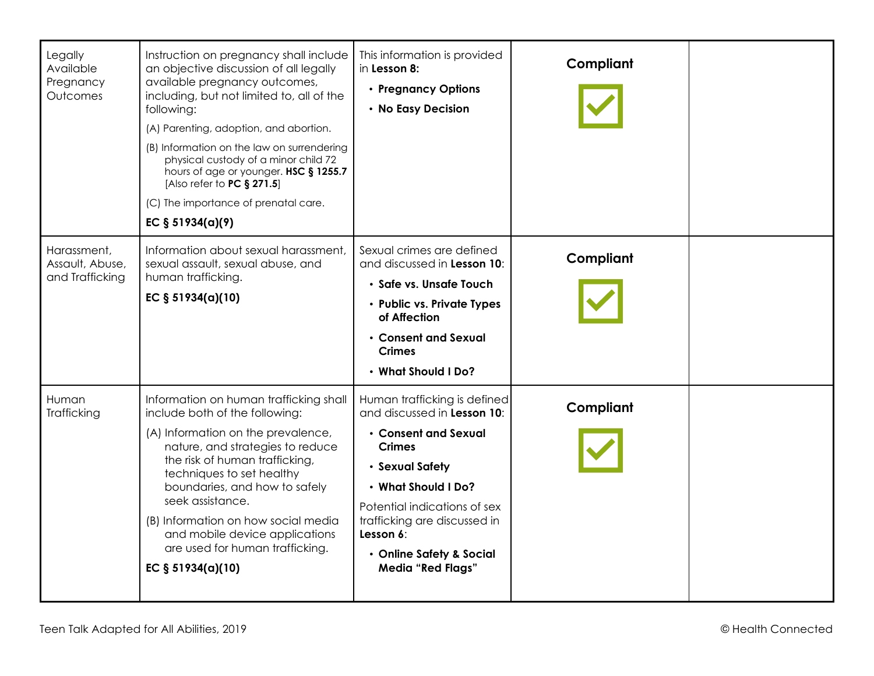| Legally<br>Available<br>Pregnancy<br>Outcomes     | Instruction on pregnancy shall include<br>an objective discussion of all legally<br>available pregnancy outcomes,<br>including, but not limited to, all of the<br>following:<br>(A) Parenting, adoption, and abortion.<br>(B) Information on the law on surrendering<br>physical custody of a minor child 72<br>hours of age or younger. HSC § 1255.7<br>[Also refer to PC § 271.5]<br>(C) The importance of prenatal care.<br>EC $§ 51934(a)(9)$ | This information is provided<br>in Lesson 8:<br>• Pregnancy Options<br>• No Easy Decision                                                                                                                                                                                           | Compliant |  |
|---------------------------------------------------|---------------------------------------------------------------------------------------------------------------------------------------------------------------------------------------------------------------------------------------------------------------------------------------------------------------------------------------------------------------------------------------------------------------------------------------------------|-------------------------------------------------------------------------------------------------------------------------------------------------------------------------------------------------------------------------------------------------------------------------------------|-----------|--|
| Harassment,<br>Assault, Abuse,<br>and Trafficking | Information about sexual harassment,<br>sexual assault, sexual abuse, and<br>human trafficking.<br>EC § 51934(a)(10)                                                                                                                                                                                                                                                                                                                              | Sexual crimes are defined<br>and discussed in Lesson 10:<br>· Safe vs. Unsafe Touch<br>• Public vs. Private Types<br>of Affection<br>• Consent and Sexual<br><b>Crimes</b><br>• What Should I Do?                                                                                   | Compliant |  |
| Human<br>Trafficking                              | Information on human trafficking shall<br>include both of the following:<br>(A) Information on the prevalence,<br>nature, and strategies to reduce<br>the risk of human trafficking,<br>techniques to set healthy<br>boundaries, and how to safely<br>seek assistance.<br>(B) Information on how social media<br>and mobile device applications<br>are used for human trafficking.<br>EC § 51934(a)(10)                                           | Human trafficking is defined<br>and discussed in Lesson 10:<br>• Consent and Sexual<br><b>Crimes</b><br>• Sexual Safety<br>• What Should I Do?<br>Potential indications of sex<br>trafficking are discussed in<br>Lesson 6:<br>• Online Safety & Social<br><b>Media "Red Flags"</b> | Compliant |  |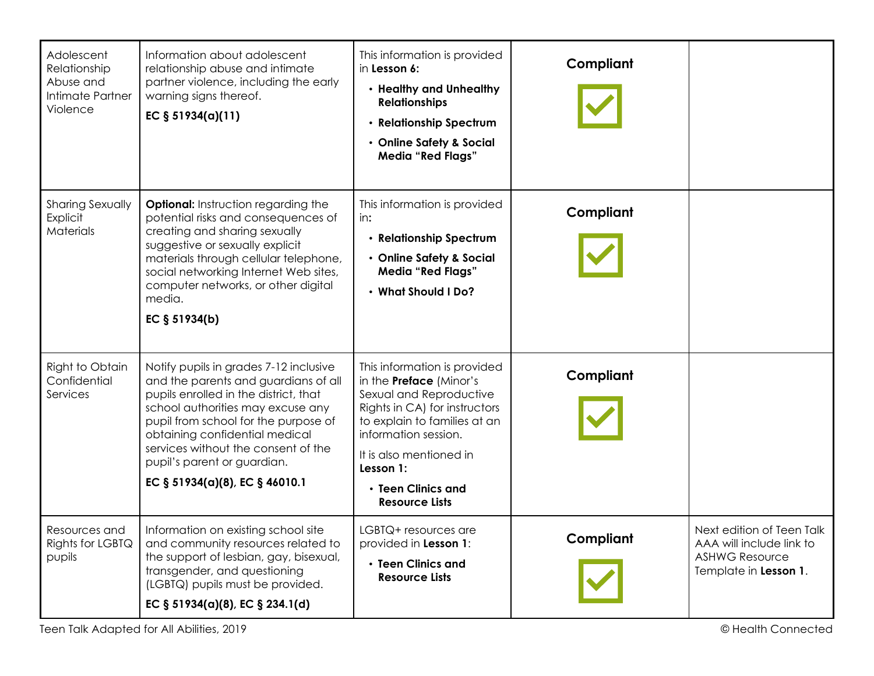| Adolescent<br>Relationship<br>Abuse and<br>Intimate Partner<br>Violence | Information about adolescent<br>relationship abuse and intimate<br>partner violence, including the early<br>warning signs thereof.<br>EC $§ 51934(a)(11)$                                                                                                                                                                                      | This information is provided<br>in Lesson 6:<br>• Healthy and Unhealthy<br><b>Relationships</b><br>• Relationship Spectrum<br>• Online Safety & Social<br><b>Media "Red Flags"</b>                                                                                        | Compliant |                                                                                                         |
|-------------------------------------------------------------------------|------------------------------------------------------------------------------------------------------------------------------------------------------------------------------------------------------------------------------------------------------------------------------------------------------------------------------------------------|---------------------------------------------------------------------------------------------------------------------------------------------------------------------------------------------------------------------------------------------------------------------------|-----------|---------------------------------------------------------------------------------------------------------|
| <b>Sharing Sexually</b><br>Explicit<br>Materials                        | <b>Optional:</b> Instruction regarding the<br>potential risks and consequences of<br>creating and sharing sexually<br>suggestive or sexually explicit<br>materials through cellular telephone,<br>social networking Internet Web sites,<br>computer networks, or other digital<br>media.<br>EC § 51934(b)                                      | This information is provided<br>in:<br>• Relationship Spectrum<br>• Online Safety & Social<br><b>Media "Red Flags"</b><br>• What Should I Do?                                                                                                                             | Compliant |                                                                                                         |
| Right to Obtain<br>Confidential<br>Services                             | Notify pupils in grades 7-12 inclusive<br>and the parents and guardians of all<br>pupils enrolled in the district, that<br>school authorities may excuse any<br>pupil from school for the purpose of<br>obtaining confidential medical<br>services without the consent of the<br>pupil's parent or guardian.<br>EC § 51934(a)(8), EC § 46010.1 | This information is provided<br>in the <b>Preface</b> (Minor's<br>Sexual and Reproductive<br>Rights in CA) for instructors<br>to explain to families at an<br>information session.<br>It is also mentioned in<br>Lesson 1:<br>• Teen Clinics and<br><b>Resource Lists</b> | Compliant |                                                                                                         |
| Resources and<br>Rights for LGBTQ<br>pupils                             | Information on existing school site<br>and community resources related to<br>the support of lesbian, gay, bisexual,<br>transgender, and questioning<br>(LGBTQ) pupils must be provided.<br>EC § 51934(a)(8), EC § 234.1(d)                                                                                                                     | LGBTQ+ resources are<br>provided in Lesson 1:<br>• Teen Clinics and<br><b>Resource Lists</b>                                                                                                                                                                              | Compliant | Next edition of Teen Talk<br>AAA will include link to<br><b>ASHWG Resource</b><br>Template in Lesson 1. |